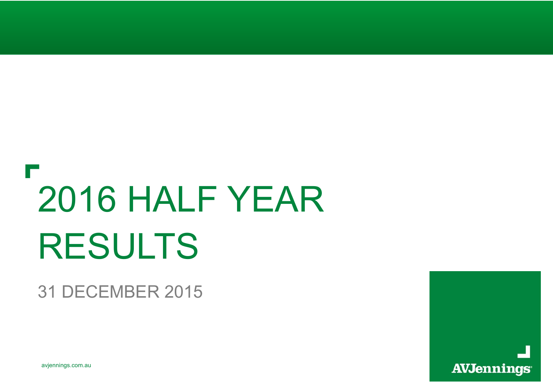# 2016 HALF YEAR RESULTS

### 31 DECEMBER 2015

avjennings.com.au

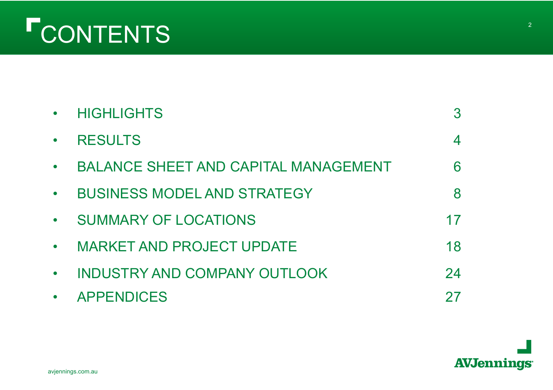# CONTENTS

|           | <b>HIGHLIGHTS</b>                           |    |
|-----------|---------------------------------------------|----|
|           | <b>RESULTS</b>                              |    |
|           | <b>BALANCE SHEET AND CAPITAL MANAGEMENT</b> |    |
| $\bullet$ | <b>BUSINESS MODEL AND STRATEGY</b>          |    |
| $\bullet$ | <b>SUMMARY OF LOCATIONS</b>                 | 17 |
| $\bullet$ | <b>MARKET AND PROJECT UPDATE</b>            | 18 |
|           | <b>INDUSTRY AND COMPANY OUTLOOK</b>         | 24 |
|           | <b>APPENDICES</b>                           |    |

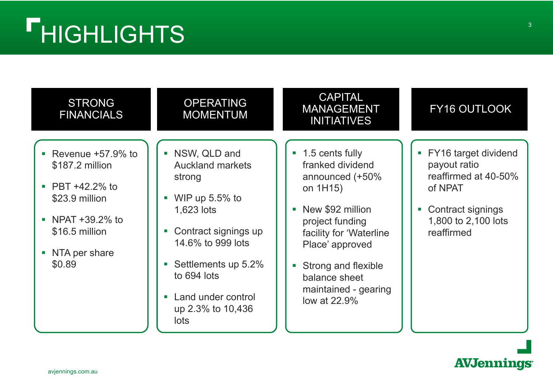| <b>STRONG</b><br><b>FINANCIALS</b>                                                                                                     | <b>OPERATING</b><br><b>MOMENTUM</b>                                                                                                                                                                                          | <b>CAPITAL</b><br><b>MANAGEMENT</b><br><b>INITIATIVES</b>                                                                                                                                                                               | FY16 OUTLOOK                                                                                                                        |
|----------------------------------------------------------------------------------------------------------------------------------------|------------------------------------------------------------------------------------------------------------------------------------------------------------------------------------------------------------------------------|-----------------------------------------------------------------------------------------------------------------------------------------------------------------------------------------------------------------------------------------|-------------------------------------------------------------------------------------------------------------------------------------|
| Revenue +57.9% to<br>\$187.2 million<br>PBT +42.2% to<br>\$23.9 million<br>NPAT +39.2% to<br>\$16.5 million<br>NTA per share<br>\$0.89 | • NSW, QLD and<br><b>Auckland markets</b><br>strong<br>WIP up $5.5\%$ to<br>1,623 lots<br>Contract signings up<br>14.6% to 999 lots<br>Settlements up 5.2%<br>to 694 lots<br>Land under control<br>up 2.3% to 10,436<br>lots | 1.5 cents fully<br>franked dividend<br>announced (+50%<br>on 1H15)<br>New \$92 million<br>project funding<br>facility for 'Waterline<br>Place' approved<br>Strong and flexible<br>balance sheet<br>maintained - gearing<br>low at 22.9% | • FY16 target dividend<br>payout ratio<br>reaffirmed at 40-50%<br>of NPAT<br>Contract signings<br>1,800 to 2,100 lots<br>reaffirmed |

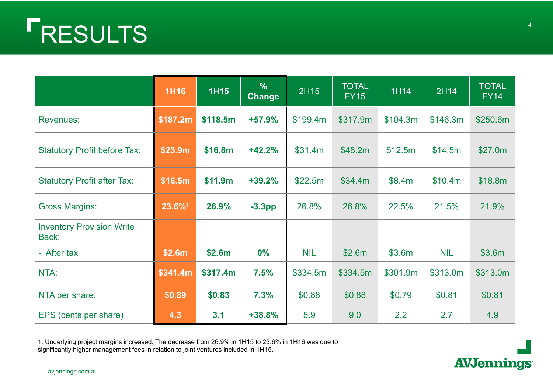# RESULTS

|                                           | <b>1H16</b> | <b>1H15</b> | $\frac{9}{6}$<br><b>Change</b> | 2H15       | <b>TOTAL</b><br><b>FY15</b> | 1H14     | 2H14       | <b>TOTAL</b><br>FY14 |
|-------------------------------------------|-------------|-------------|--------------------------------|------------|-----------------------------|----------|------------|----------------------|
| <b>Revenues:</b>                          | \$187.2m    | \$118.5m    | $+57.9%$                       | \$199.4m   | \$317.9m                    | \$104.3m | \$146.3m   | \$250.6m             |
| <b>Statutory Profit before Tax:</b>       | \$23.9m     | \$16.8m     | $+42.2%$                       | \$31.4m    | \$48.2m\$                   | \$12.5m  | \$14.5m    | \$27.0m              |
| <b>Statutory Profit after Tax:</b>        | \$16.5m     | \$11.9m     | $+39.2%$                       | \$22.5m    | \$34.4m                     | \$8.4m   | \$10.4m    | \$18.8m              |
| <b>Gross Margins:</b>                     | 23.6%1      | 26.9%       | $-3.3pp$                       | 26.8%      | 26.8%                       | 22.5%    | 21.5%      | 21.9%                |
| <b>Inventory Provision Write</b><br>Back: |             |             |                                |            |                             |          |            |                      |
| - After tax                               | \$2.6m      | \$2.6m      | 0%                             | <b>NIL</b> | \$2.6m                      | \$3.6m   | <b>NIL</b> | \$3.6m               |
| NTA:                                      | \$341.4m    | \$317.4m    | 7.5%                           | \$334.5m   | \$334.5m                    | \$301.9m | \$313.0m   | \$313.0m             |
| NTA per share:                            | \$0.89      | \$0.83      | 7.3%                           | \$0.88     | \$0.88                      | \$0.79   | \$0.81     | \$0.81               |
| EPS (cents per share)                     | 4.3         | 3.1         | $+38.8%$                       | 5.9        | 9.0                         | 2.2      | 2.7        | 4.9                  |

1. Underlying project margins increased. The decrease from 26.9% in 1H15 to 23.6% in 1H16 was due to significantly higher management fees in relation to joint ventures included in 1H15.



avjennings.com.au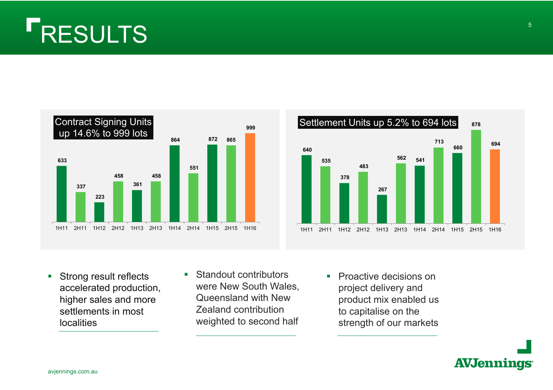# RESULTS





- L. Strong result reflects accelerated production, higher sales and more settlements in most localities
- $\mathcal{L}_{\mathcal{A}}$  Standout contributors were New South Wales, Queensland with New Zealand contribution weighted to second half
- Proactive decisions on project delivery and product mix enabled us to capitalise on the strength of our markets

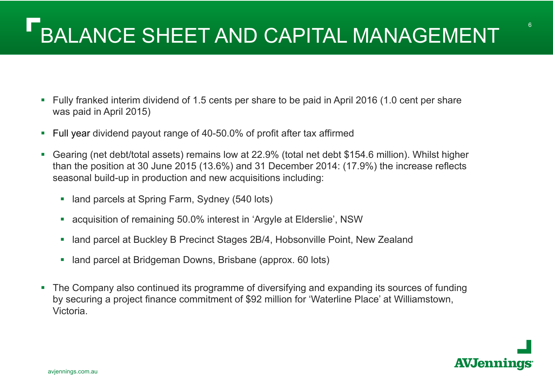# BALANCE SHEET AND CAPITAL MANAGEMENT

- $\mathcal{L}_{\mathcal{A}}$  Fully franked interim dividend of 1.5 cents per share to be paid in April 2016 (1.0 cent per share was paid in April 2015)
- $\overline{\phantom{a}}$ Full year dividend payout range of 40-50.0% of profit after tax affirmed
- $\overline{\phantom{a}}$  Gearing (net debt/total assets) remains low at 22.9% (total net debt \$154.6 million). Whilst higher than the position at 30 June 2015 (13.6%) and 31 December 2014: (17.9%) the increase reflects seasonal build-up in production and new acquisitions including:
	- $\mathcal{L}_{\mathcal{A}}$ land parcels at Spring Farm, Sydney (540 lots)
	- a, acquisition of remaining 50.0% interest in 'Argyle at Elderslie', NSW
	- I. land parcel at Buckley B Precinct Stages 2B/4, Hobsonville Point, New Zealand
	- I. land parcel at Bridgeman Downs, Brisbane (approx. 60 lots)
- $\mathcal{L}_{\mathcal{A}}$  The Company also continued its programme of diversifying and expanding its sources of funding by securing a project finance commitment of \$92 million for 'Waterline Place' at Williamstown, Victoria.

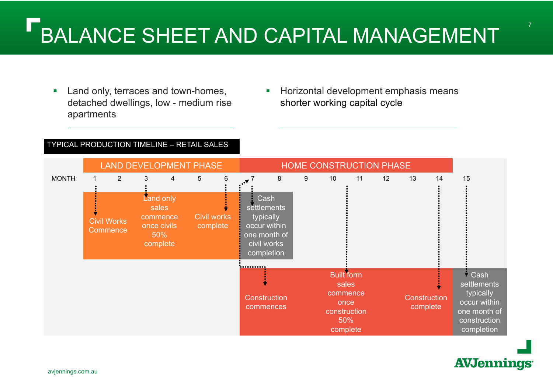- $\mathcal{L}_{\mathcal{A}}$  Land only, terraces and town-homes, detached dwellings, low - medium rise apartments
- **Horizontal development emphasis means** shorter working capital cycle

#### TYPICAL PRODUCTION TIMELINE – RETAIL SALES

|              |                                | <b>LAND DEVELOPMENT PHASE</b>                                    |                |                 |                                |                                                                                               |   |   | HOME CONSTRUCTION PHASE                                                           |    |    |                          |    |                                                                                                                         |
|--------------|--------------------------------|------------------------------------------------------------------|----------------|-----------------|--------------------------------|-----------------------------------------------------------------------------------------------|---|---|-----------------------------------------------------------------------------------|----|----|--------------------------|----|-------------------------------------------------------------------------------------------------------------------------|
| <b>MONTH</b> | $\overline{2}$                 | 3                                                                | $\overline{4}$ | $5\overline{)}$ | $6\phantom{1}$                 | $\cdot \cdot \cdot 7$                                                                         | 8 | 9 | 10 <sup>°</sup>                                                                   | 11 | 12 | 13                       | 14 | 15                                                                                                                      |
|              | <b>Civil Works</b><br>Commence | Land only<br>sales<br>commence<br>once civils<br>50%<br>complete |                |                 | <b>Civil works</b><br>complete | Cash<br>settlements<br>typically<br>occur within<br>one month of<br>civil works<br>completion |   |   |                                                                                   |    |    |                          |    |                                                                                                                         |
|              |                                |                                                                  |                |                 |                                | <b></b>                                                                                       |   |   |                                                                                   |    |    |                          |    |                                                                                                                         |
|              |                                |                                                                  |                |                 |                                | Construction<br>commences                                                                     |   |   | <b>Built form</b><br>sales<br>commence<br>once<br>construction<br>50%<br>complete |    |    | Construction<br>complete |    | $\overline{\phantom{a}}$ Cash<br>settlements<br>typically<br>occur within<br>one month of<br>construction<br>completion |

### **AVJennings**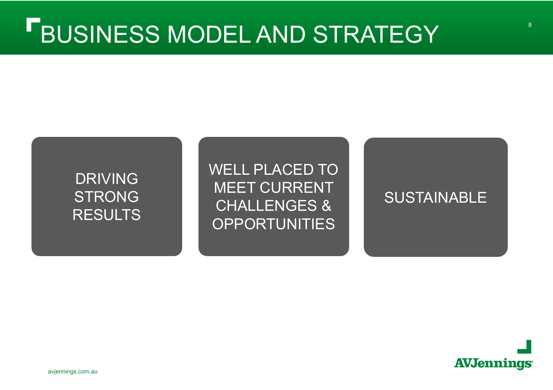### DRIVING STRONG RESULTS

WELL PLACED TO MEET CURRENT CHALLENGES & OPPORTUNITIES

### **SUSTAINABLE**



8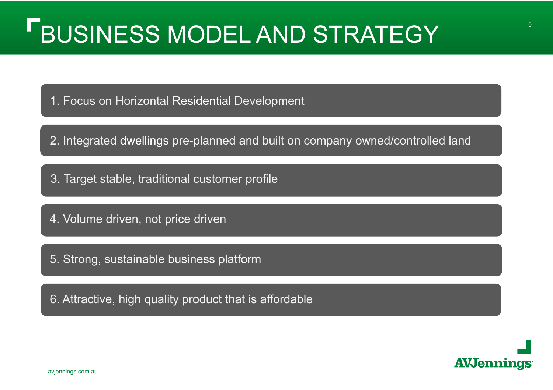1. Focus on Horizontal Residential Development

2. Integrated dwellings pre-planned and built on company owned/controlled land

3. Target stable, traditional customer profile

4. Volume driven, not price driven

5. Strong, sustainable business platform

6. Attractive, high quality product that is affordable



avjennings.com.au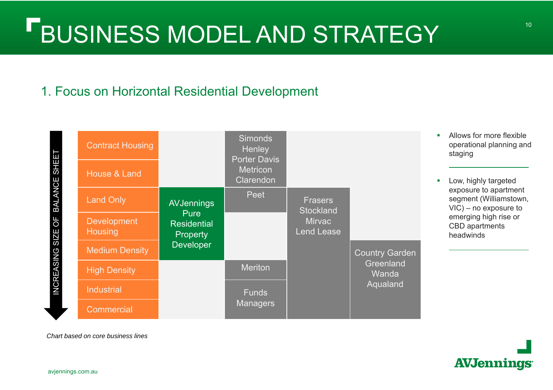### 1. Focus on Horizontal Residential Development



*Chart based on core business lines*

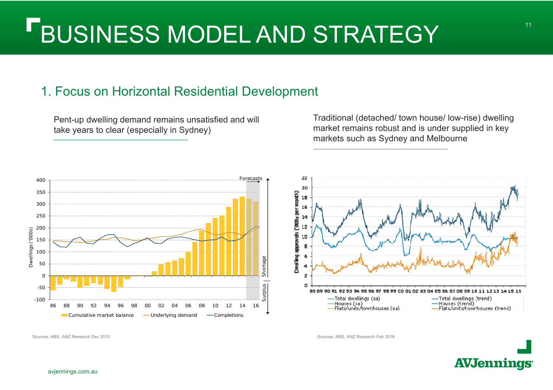### 1. Focus on Horizontal Residential Development

Pent-up dwelling demand remains unsatisfied and will take years to clear (especially in Sydney)

Traditional (detached/ town house/ low-rise) dwelling market remains robust and is under supplied in key markets such as Sydney and Melbourne



Sources: ABS, ANZ Research Dec 2015 Sources: ABS, ANZ Research Feb 2016

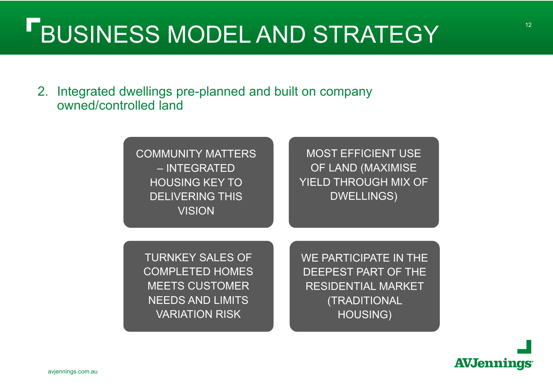2. Integrated dwellings pre-planned and built on company owned/controlled land

> COMMUNITY MATTERS – INTEGRATED HOUSING KEY TO DELIVERING THIS **VISION**

MOST EFFICIENT USE OF LAND (MAXIMISE YIELD THROUGH MIX OF DWELLINGS)

TURNKEY SALES OF COMPLETED HOMES MEETS CUSTOMER NEEDS AND LIMITS VARIATION RISK

WE PARTICIPATE IN THE DEEPEST PART OF THE RESIDENTIAL MARKET (TRADITIONAL HOUSING)

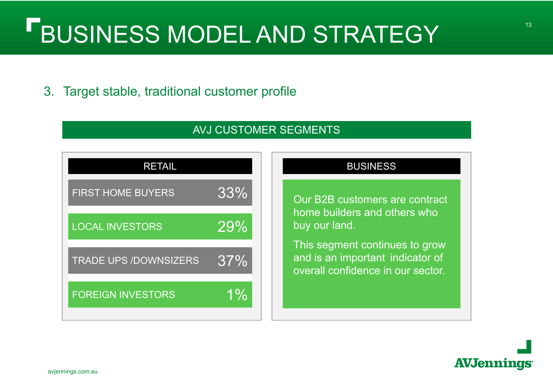3. Target stable, traditional customer profile

### AVJ CUSTOMER SEGMENTS



#### **BUSINESS**

Our B2B customers are contract home builders and others who buy our land.

This segment continues to grow and is an important indicator of overall confidence in our sector.

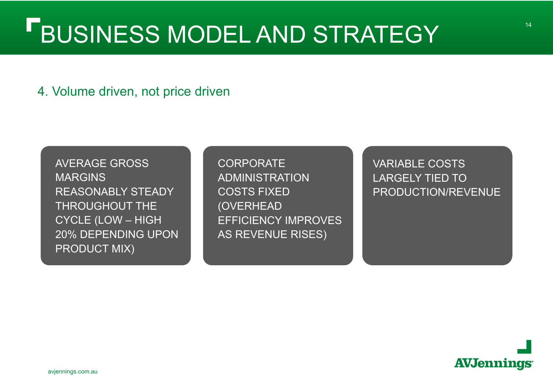### 4. Volume driven, not price driven

AVERAGE GROSS **MARGINS** REASONABLY STEADY THROUGHOUT THE CYCLE (LOW – HIGH 20% DEPENDING UPON PRODUCT MIX)

**CORPORATE** ADMINISTRATION COSTS FIXED (OVERHEAD EFFICIENCY IMPROVES AS REVENUE RISES)

VARIABLE COSTS LARGELY TIED TO PRODUCTION/REVENUE

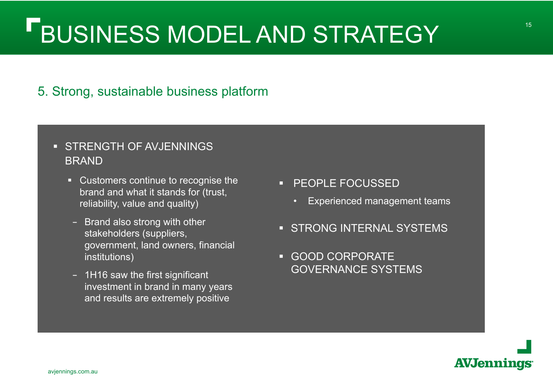### 5. Strong, sustainable business platform

### **STRENGTH OF AVJENNINGS** BRAND

- Customers continue to recognise the brand and what it stands for (trust, reliability, value and quality)
- Brand also strong with other stakeholders (suppliers, government, land owners, financial institutions)
- 1H16 saw the first significant investment in brand in many years and results are extremely positive
- **PEOPLE FOCUSSED** 
	- •Experienced management teams
- **STRONG INTERNAL SYSTEMS**
- GOOD CORPORATE GOVERNANCE SYSTEMS

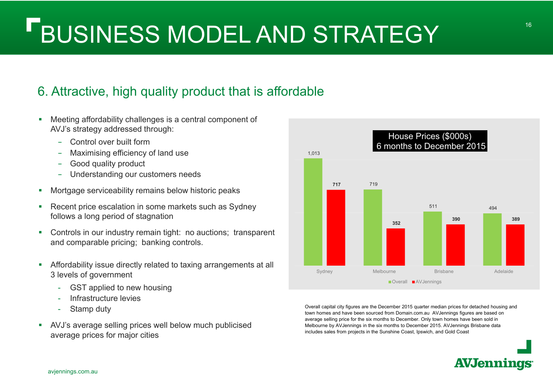### 6. Attractive, high quality product that is affordable

- T. Meeting affordability challenges is a central component of AVJ's strategy addressed through:
	- Control over built form
	- Maximising efficiency of land use
	- Good quality product
	- Understanding our customers needs
- $\mathcal{L}_{\mathcal{A}}$ Mortgage serviceability remains below historic peaks
- $\blacksquare$  Recent price escalation in some markets such as Sydney follows a long period of stagnation
- $\overline{\phantom{a}}$  Controls in our industry remain tight: no auctions; transparent and comparable pricing; banking controls.
- $\overline{\phantom{a}}$  Affordability issue directly related to taxing arrangements at all 3 levels of government
	- -GST applied to new housing
	- -Infrastructure levies
	- -Stamp duty
- $\blacksquare$  AVJ's average selling prices well below much publicised average prices for major cities



Overall capital city figures are the December 2015 quarter median prices for detached housing and town homes and have been sourced from Domain.com.au AVJennings figures are based on average selling price for the six months to December. Only town homes have been sold in Melbourne by AVJennings in the six months to December 2015. AVJennings Brisbane data includes sales from projects in the Sunshine Coast, Ipswich, and Gold Coast

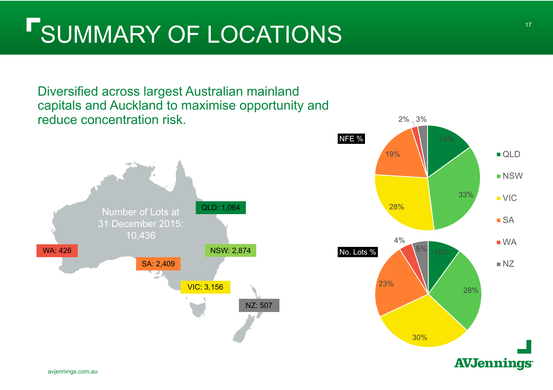# SUMMARY OF LOCATIONS

Diversified across largest Australian mainland capitals and Auckland to maximise opportunity and reduce concentration risk.



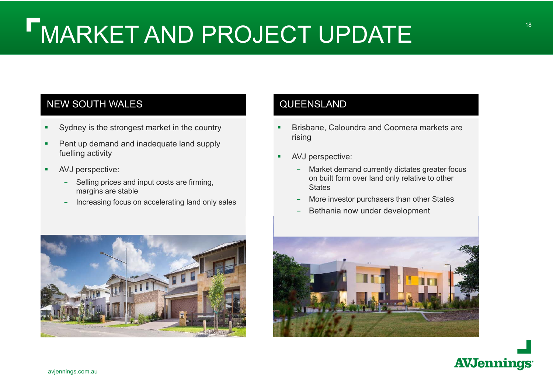#### NEW SOUTH WALES

- П Sydney is the strongest market in the country
- Ш Pent up demand and inadequate land supply fuelling activity
- П AVJ perspective:
	- Selling prices and input costs are firming, margins are stable
	- Increasing focus on accelerating land only sales

#### **QUEENSLAND**

- Г Brisbane, Caloundra and Coomera markets are rising
- L. AVJ perspective:
	- – Market demand currently dictates greater focus on built form over land only relative to other **States**
	- More investor purchasers than other States
	- Bethania now under development





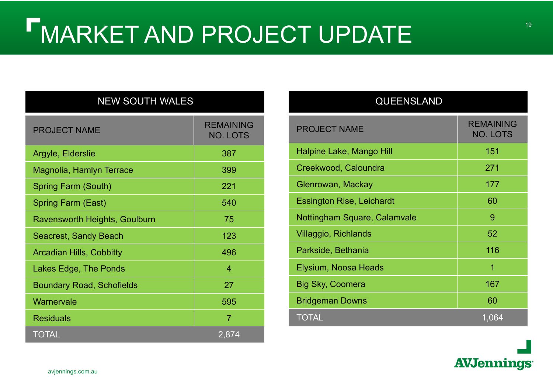#### NEW SOUTH WALES

| <b>PROJECT NAME</b>              | <b>REMAINING</b><br><b>NO. LOTS</b> |
|----------------------------------|-------------------------------------|
| Argyle, Elderslie                | 387                                 |
| Magnolia, Hamlyn Terrace         | 399                                 |
| Spring Farm (South)              | 221                                 |
| <b>Spring Farm (East)</b>        | 540                                 |
| Ravensworth Heights, Goulburn    | 75                                  |
| <b>Seacrest, Sandy Beach</b>     | 123                                 |
| <b>Arcadian Hills, Cobbitty</b>  | 496                                 |
| Lakes Edge, The Ponds            | 4                                   |
| <b>Boundary Road, Schofields</b> | 27                                  |
| Warnervale                       | 595                                 |
| <b>Residuals</b>                 | $\overline{7}$                      |
| <b>TOTAL</b>                     | 2,874                               |

#### QUEENSLAND

| <b>PROJECT NAME</b>              | <b>REMAINING</b><br><b>NO. LOTS</b> |
|----------------------------------|-------------------------------------|
| Halpine Lake, Mango Hill         | 151                                 |
| Creekwood, Caloundra             | 271                                 |
| Glenrowan, Mackay                | 177                                 |
| <b>Essington Rise, Leichardt</b> | 60                                  |
| Nottingham Square, Calamvale     | 9                                   |
| <b>Villaggio, Richlands</b>      | 52                                  |
| Parkside, Bethania               | 116                                 |
| Elysium, Noosa Heads             | 1                                   |
| Big Sky, Coomera                 | 167                                 |
| <b>Bridgeman Downs</b>           | 60                                  |
| <b>TOTAL</b>                     | 1,064                               |

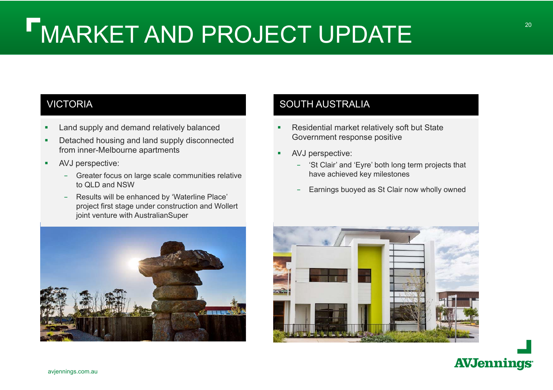### VICTORIA

- П Land supply and demand relatively balanced
- Ш Detached housing and land supply disconnected from inner-Melbourne apartments
- Ш AVJ perspective:
	- Greater focus on large scale communities relative to QLD and NSW
	- Results will be enhanced by 'Waterline Place' project first stage under construction and Wollert joint venture with AustralianSuper



### SOUTH AUSTRALIA

- Г Residential market relatively soft but State Government response positive
- Г AVJ perspective:
	- – 'St Clair' and 'Eyre' both long term projects that have achieved key milestones
	- Earnings buoyed as St Clair now wholly owned



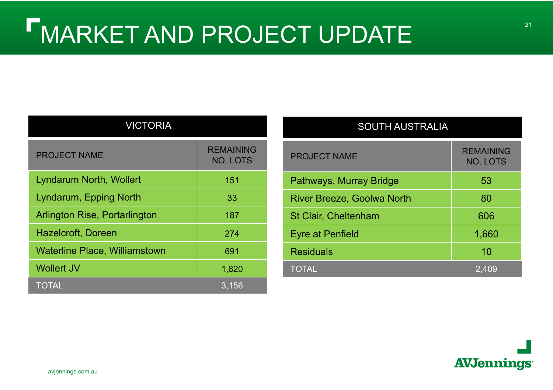| <b>VICTORIA</b>                      |                                     |  |  |  |  |  |  |  |
|--------------------------------------|-------------------------------------|--|--|--|--|--|--|--|
| <b>PROJECT NAME</b>                  | <b>REMAINING</b><br><b>NO. LOTS</b> |  |  |  |  |  |  |  |
| <b>Lyndarum North, Wollert</b>       | 151                                 |  |  |  |  |  |  |  |
| <b>Lyndarum, Epping North</b>        | 33                                  |  |  |  |  |  |  |  |
| <b>Arlington Rise, Portarlington</b> | 187                                 |  |  |  |  |  |  |  |
| <b>Hazelcroft, Doreen</b>            | 274                                 |  |  |  |  |  |  |  |
| <b>Waterline Place, Williamstown</b> | 691                                 |  |  |  |  |  |  |  |
| <b>Wollert JV</b>                    | 1,820                               |  |  |  |  |  |  |  |
| <b>TOTAL</b>                         | 3.156                               |  |  |  |  |  |  |  |

| <b>SOUTH AUSTRALIA</b>            |                                     |  |  |  |  |  |  |  |
|-----------------------------------|-------------------------------------|--|--|--|--|--|--|--|
| <b>PROJECT NAME</b>               | <b>REMAINING</b><br><b>NO. LOTS</b> |  |  |  |  |  |  |  |
| Pathways, Murray Bridge           | 53                                  |  |  |  |  |  |  |  |
| <b>River Breeze, Goolwa North</b> | 80                                  |  |  |  |  |  |  |  |
| <b>St Clair, Cheltenham</b>       | 606                                 |  |  |  |  |  |  |  |
| <b>Eyre at Penfield</b>           | 1,660                               |  |  |  |  |  |  |  |
| <b>Residuals</b>                  | 10                                  |  |  |  |  |  |  |  |
| TOTAL                             | 2,409                               |  |  |  |  |  |  |  |

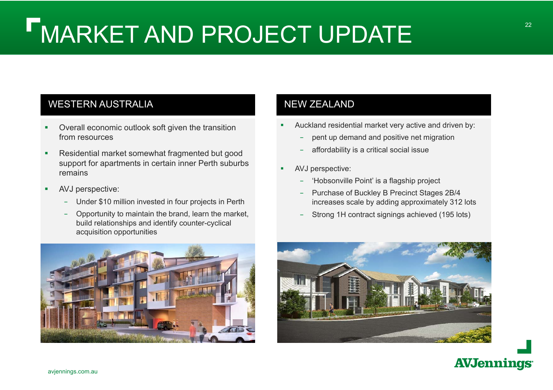### WESTERN AUSTRALIA

- П Overall economic outlook soft given the transition from resources
- П Residential market somewhat fragmented but good support for apartments in certain inner Perth suburbs remains
- П AVJ perspective:
	- Under \$10 million invested in four projects in Perth
	- Opportunity to maintain the brand, learn the market, build relationships and identify counter-cyclical acquisition opportunities



#### NEW ZEALAND

- П Auckland residential market very active and driven by:
	- pent up demand and positive net migration
	- affordability is a critical social issue
- AVJ perspective:
	- 'Hobsonville Point' is a flagship project
	- Purchase of Buckley B Precinct Stages 2B/4 increases scale by adding approximately 312 lots
	- Strong 1H contract signings achieved (195 lots)



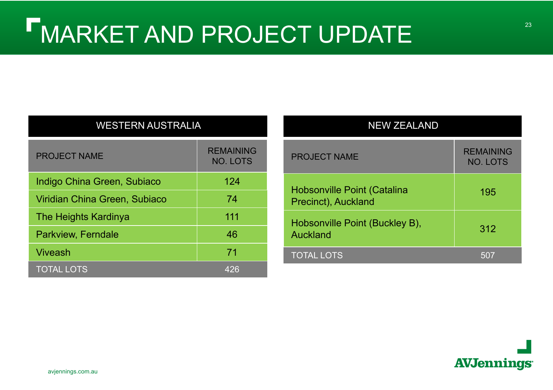| <b>WESTERN AUSTRALIA</b>      |                                     |  |  |  |  |  |  |  |
|-------------------------------|-------------------------------------|--|--|--|--|--|--|--|
| <b>PROJECT NAME</b>           | <b>REMAINING</b><br><b>NO. LOTS</b> |  |  |  |  |  |  |  |
| Indigo China Green, Subiaco   | 124                                 |  |  |  |  |  |  |  |
| Viridian China Green, Subiaco | 74                                  |  |  |  |  |  |  |  |
| The Heights Kardinya          | 111                                 |  |  |  |  |  |  |  |
| <b>Parkview, Ferndale</b>     | 46                                  |  |  |  |  |  |  |  |
| Viveash                       | 71                                  |  |  |  |  |  |  |  |
| <b>TOTAL LOTS</b>             | 426                                 |  |  |  |  |  |  |  |

| <b>NEW ZEALAND</b>                                        |                                     |
|-----------------------------------------------------------|-------------------------------------|
| <b>PROJECT NAME</b>                                       | <b>REMAINING</b><br><b>NO. LOTS</b> |
| <b>Hobsonville Point (Catalina</b><br>Precinct), Auckland | 195                                 |
| Hobsonville Point (Buckley B),<br>Auckland                | 312                                 |
| <b>TOTAL LOTS</b>                                         | 507                                 |

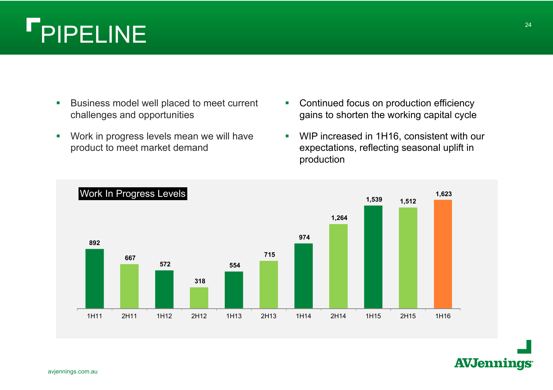### Г PIPELINE

- $\mathcal{C}$  Business model well placed to meet current challenges and opportunities
- $\mathcal{C}$  Work in progress levels mean we will have product to meet market demand
- $\mathbb{R}^{n\times n}$  Continued focus on production efficiency gains to shorten the working capital cycle
- $\overline{\phantom{a}}$  WIP increased in 1H16, consistent with our expectations, reflecting seasonal uplift in production

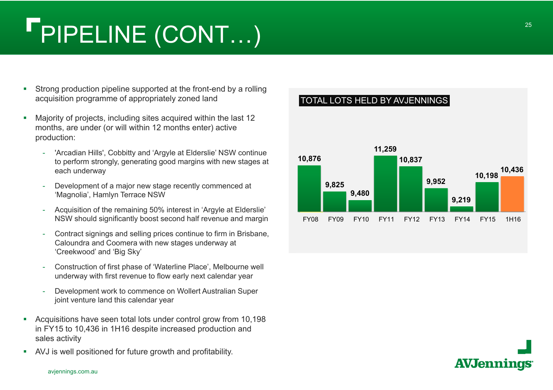# PIPELINE (CONT…)

- $\blacksquare$  Strong production pipeline supported at the front-end by a rolling acquisition programme of appropriately zoned land
- $\mathcal{C}$  Majority of projects, including sites acquired within the last 12 months, are under (or will within 12 months enter) active production:
	- 'Arcadian Hills', Cobbitty and 'Argyle at Elderslie' NSW continue to perform strongly, generating good margins with new stages at each underway
	- Development of a major new stage recently commenced at 'Magnolia', Hamlyn Terrace NSW
	- Acquisition of the remaining 50% interest in 'Argyle at Elderslie' NSW should significantly boost second half revenue and margin
	- Contract signings and selling prices continue to firm in Brisbane, Caloundra and Coomera with new stages underway at 'Creekwood' and 'Big Sky'
	- Construction of first phase of 'Waterline Place', Melbourne well underway with first revenue to flow early next calendar year
	- Development work to commence on Wollert Australian Super joint venture land this calendar year
- $\mathcal{L}_{\mathcal{A}}$  Acquisitions have seen total lots under control grow from 10,198 in FY15 to 10,436 in 1H16 despite increased production and sales activity
- $\overline{\phantom{a}}$ AVJ is well positioned for future growth and profitability.





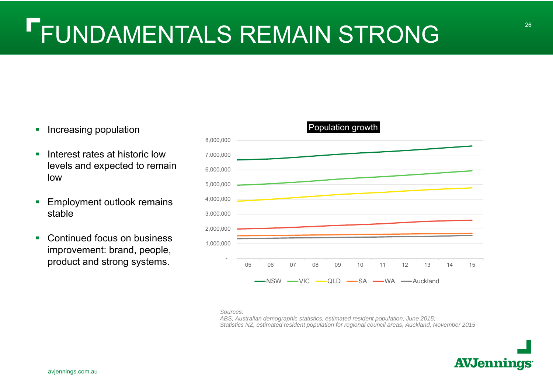# FUNDAMENTALS REMAIN STRONG

- **Increasing population**
- ٠ Interest rates at historic low levels and expected to remain low
- **Employment outlook remains** stable
- $\mathcal{L}_{\mathcal{A}}$  Continued focus on business improvement: brand, people, product and strong systems. -



*Sources:*

 *ABS, Australian demographic statistics, estimated resident population, June 2015; Statistics NZ, estimated resident population for regional council areas, Auckland, November 2015*

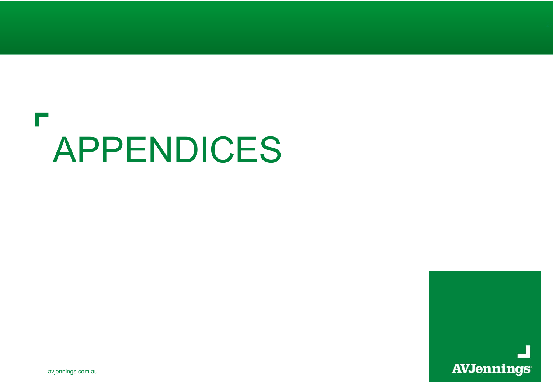### **IT** APPENDICES



avjennings.com.au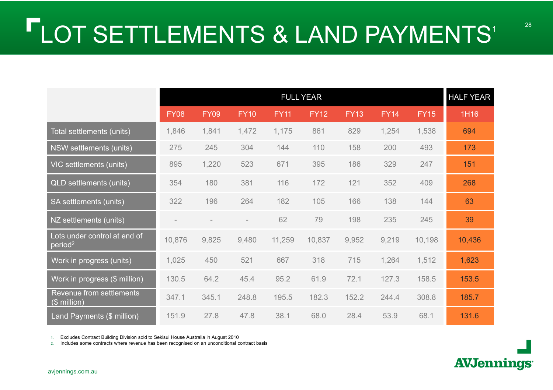|                                                     |             | <b>FULL YEAR</b> |             |             |             |             |             |             |        |  |  |
|-----------------------------------------------------|-------------|------------------|-------------|-------------|-------------|-------------|-------------|-------------|--------|--|--|
|                                                     | <b>FY08</b> | <b>FY09</b>      | <b>FY10</b> | <b>FY11</b> | <b>FY12</b> | <b>FY13</b> | <b>FY14</b> | <b>FY15</b> | 1H16   |  |  |
| Total settlements (units)                           | 1,846       | 1,841            | 1,472       | 1,175       | 861         | 829         | 1,254       | 1,538       | 694    |  |  |
| NSW settlements (units)                             | 275         | 245              | 304         | 144         | 110         | 158         | 200         | 493         | 173    |  |  |
| VIC settlements (units)                             | 895         | 1,220            | 523         | 671         | 395         | 186         | 329         | 247         | 151    |  |  |
| <b>QLD</b> settlements (units)                      | 354         | 180              | 381         | 116         | 172         | 121         | 352         | 409         | 268    |  |  |
| SA settlements (units)                              | 322         | 196              | 264         | 182         | 105         | 166         | 138         | 144         | 63     |  |  |
| NZ settlements (units)                              |             |                  |             | 62          | 79          | 198         | 235         | 245         | 39     |  |  |
| Lots under control at end of<br>period <sup>2</sup> | 10,876      | 9,825            | 9,480       | 11,259      | 10,837      | 9,952       | 9,219       | 10,198      | 10,436 |  |  |
| Work in progress (units)                            | 1,025       | 450              | 521         | 667         | 318         | 715         | 1,264       | 1,512       | 1,623  |  |  |
| Work in progress (\$ million)                       | 130.5       | 64.2             | 45.4        | 95.2        | 61.9        | 72.1        | 127.3       | 158.5       | 153.5  |  |  |
| Revenue from settlements<br>$($$ million)           | 347.1       | 345.1            | 248.8       | 195.5       | 182.3       | 152.2       | 244.4       | 308.8       | 185.7  |  |  |
| Land Payments (\$ million)                          | 151.9       | 27.8             | 47.8        | 38.1        | 68.0        | 28.4        | 53.9        | 68.1        | 131.6  |  |  |

1. Excludes Contract Building Division sold to Sekisui House Australia in August 2010

2. Includes some contracts where revenue has been recognised on an unconditional contract basis

**AVJennings**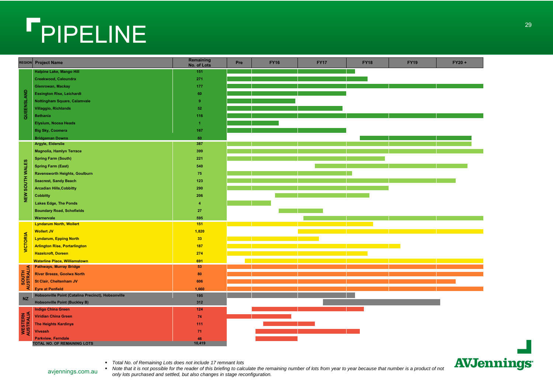# PIPELINE

| Halpine Lake, Mango Hill<br>151                                                                                        |  |
|------------------------------------------------------------------------------------------------------------------------|--|
|                                                                                                                        |  |
| Creekwood, Caloundra<br>271                                                                                            |  |
| Glenrowan, Mackay<br>177                                                                                               |  |
| <b>Essington Rise, Leichardt</b><br>60                                                                                 |  |
| Nottingham Square, Calamvale<br>$\overline{9}$                                                                         |  |
| Villaggio, Richlands<br>52                                                                                             |  |
| QUEENSLAND<br><b>Bethania</b><br>116                                                                                   |  |
| <b>Elysium, Noosa Heads</b><br>$\blacktriangleleft$                                                                    |  |
| <b>Big Sky, Coomera</b><br>167                                                                                         |  |
| <b>Bridgeman Downs</b><br>60                                                                                           |  |
| Argyle, Elderslie<br>387                                                                                               |  |
| <b>Magnolia, Hamlyn Terrace</b><br>399                                                                                 |  |
| <b>Spring Farm (South)</b><br>221                                                                                      |  |
| <b>Spring Farm (East)</b><br>540                                                                                       |  |
| NEW SOUTH WALES<br>Ravensworth Heights, Goulburn<br>75                                                                 |  |
| <b>Seacrest, Sandy Beach</b><br>123                                                                                    |  |
| <b>Arcadian Hills, Cobbitty</b><br>290                                                                                 |  |
| <b>Cobbitty</b><br>206                                                                                                 |  |
| <b>Lakes Edge, The Ponds</b><br>$\overline{4}$                                                                         |  |
| <b>Boundary Road, Schofields</b><br>27                                                                                 |  |
| 595<br>Warnervale                                                                                                      |  |
| <b>Lyndarum North, Wollert</b><br>151<br>the company of the company of the                                             |  |
| <b>Wollert JV</b><br>1,820                                                                                             |  |
| <b>Lyndarum, Epping North</b><br>33                                                                                    |  |
| <b>VICTORIA</b><br><u> 1989 - Johann John Stone, markin sanadi kara</u><br><b>Arlington Rise, Portarlington</b><br>187 |  |
| <b>Hazelcroft, Doreen</b><br>274                                                                                       |  |
| 691<br><b>Waterline Place, Williamstown</b>                                                                            |  |
| <b>Pathways, Murray Bridge</b><br>53<br>≤                                                                              |  |
| <b>SOUTH</b><br>AUSTRALI<br><b>River Breeze, Goolwa North</b><br>80                                                    |  |
| <b>St Clair, Cheltenham JV</b><br>606                                                                                  |  |
| <b>Eyre at Penfield</b><br>1,660                                                                                       |  |
| Hobsonville Point (Catalina Precinct), Hobsonville<br>195<br><b>NZ</b>                                                 |  |
| <b>Hobsonville Point (Buckley B)</b><br>312                                                                            |  |
| <b>Indigo China Green</b><br>124                                                                                       |  |
| <b>WESTERN</b><br>AUSTRALIA<br><b>Viridian China Green</b><br>74                                                       |  |
| <b>The Heights Kardinya</b><br>111                                                                                     |  |
| <b>Viveash</b><br>71                                                                                                   |  |
| <b>Parkview, Ferndale</b><br>46<br>10,419<br>TOTAL NO. OF REMAINING LOTS                                               |  |

*Total No. of Remaining Lots does not include 17 remnant lots*

avjennings.com.au

■ Note that it is not possible for the reader of this briefing to calculate the remaining number of lots from year to year because that number is a product of not *only lots purchased and settled, but also changes in stage reconfiguration.*

**AVJennings**